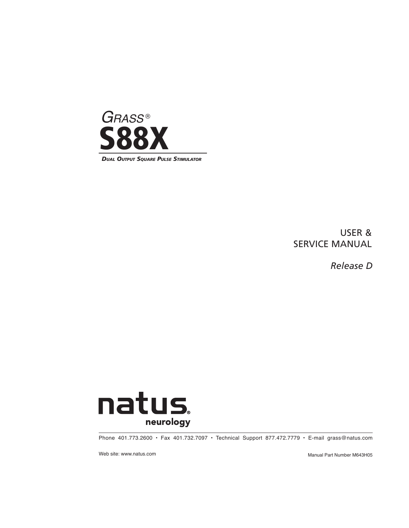

USER & SERVICE MANUAL

*Release D*



Phone 401.773.2600 • Fax 401.732.7097 • Technical Support 877.472.7779 • E-mail grass@natus.com

Web site: www.natus.com **Manual Part Number M643H05** Manual Part Number M643H05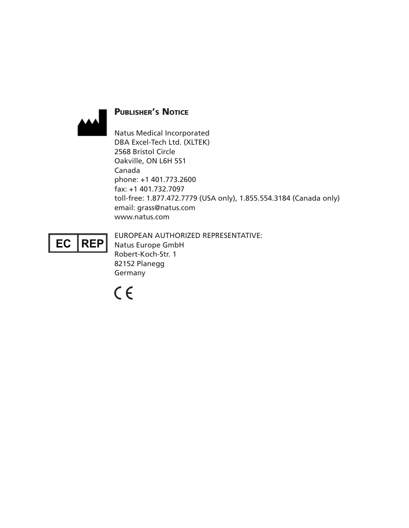

## PUBLISHER'S NOTICE

Natus Medical Incorporated DBA Excel-Tech Ltd. (XLTEK) 2568 Bristol Circle Oakville, ON L6H 5S1 Canada phone: +1 401.773.2600 fax: +1 401.732.7097 toll-free: 1.877.472.7779 (USA only), 1.855.554.3184 (Canada only) email: grass@natus.com www.natus.com

 $|REF|$ EC

EUROPEAN AUTHORIZED REPRESENTATIVE: Natus Europe GmbH Robert-Koch-Str. 1 82152 Planegg Germany

 $C \in$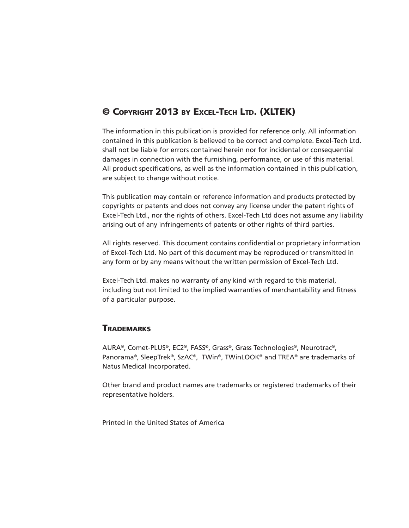## © Copyright 2013 by Excel-Tech Ltd. (XLTEK)

The information in this publication is provided for reference only. All information contained in this publication is believed to be correct and complete. Excel-Tech Ltd. shall not be liable for errors contained herein nor for incidental or consequential damages in connection with the furnishing, performance, or use of this material. All product specifications, as well as the information contained in this publication, are subject to change without notice.

This publication may contain or reference information and products protected by copyrights or patents and does not convey any license under the patent rights of Excel-Tech Ltd., nor the rights of others. Excel-Tech Ltd does not assume any liability arising out of any infringements of patents or other rights of third parties.

All rights reserved. This document contains confidential or proprietary information of Excel-Tech Ltd. No part of this document may be reproduced or transmitted in any form or by any means without the written permission of Excel-Tech Ltd.

Excel-Tech Ltd. makes no warranty of any kind with regard to this material, including but not limited to the implied warranties of merchantability and fitness of a particular purpose.

## **TRADEMARKS**

AURA®, Comet-PLUS®, EC2®, FASS®, Grass®, Grass Technologies®, Neurotrac®, Panorama®, SleepTrek®, SzAC®, TWin®, TWinLOOK® and TREA® are trademarks of Natus Medical Incorporated.

Other brand and product names are trademarks or registered trademarks of their representative holders.

Printed in the United States of America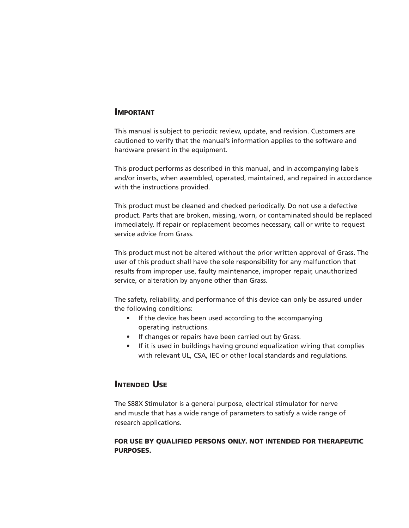#### Important

This manual is subject to periodic review, update, and revision. Customers are cautioned to verify that the manual's information applies to the software and hardware present in the equipment.

This product performs as described in this manual, and in accompanying labels and/or inserts, when assembled, operated, maintained, and repaired in accordance with the instructions provided.

This product must be cleaned and checked periodically. Do not use a defective product. Parts that are broken, missing, worn, or contaminated should be replaced immediately. If repair or replacement becomes necessary, call or write to request service advice from Grass.

This product must not be altered without the prior written approval of Grass. The user of this product shall have the sole responsibility for any malfunction that results from improper use, faulty maintenance, improper repair, unauthorized service, or alteration by anyone other than Grass.

The safety, reliability, and performance of this device can only be assured under the following conditions:

- If the device has been used according to the accompanying operating instructions.
- If changes or repairs have been carried out by Grass.
- If it is used in buildings having ground equalization wiring that complies with relevant UL, CSA, IEC or other local standards and regulations.

### **INTENDED USE**

The S88X Stimulator is a general purpose, electrical stimulator for nerve and muscle that has a wide range of parameters to satisfy a wide range of research applications.

#### FOR USE BY QUALIFIED PERSONS ONLY. NOT INTENDED FOR THERAPEUTIC PURPOSES.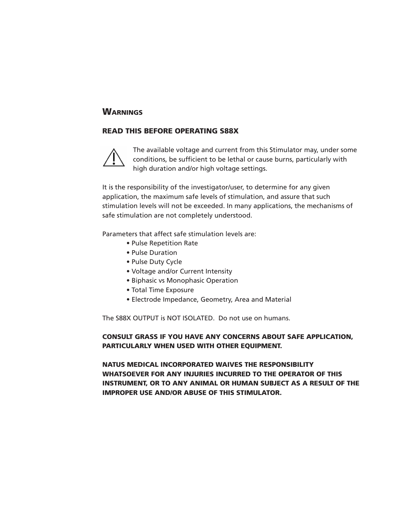#### **WARNINGS**

#### READ THIS BEFORE OPERATING S88X



The available voltage and current from this Stimulator may, under some conditions, be sufficient to be lethal or cause burns, particularly with high duration and/or high voltage settings.

It is the responsibility of the investigator/user, to determine for any given application, the maximum safe levels of stimulation, and assure that such stimulation levels will not be exceeded. In many applications, the mechanisms of safe stimulation are not completely understood.

Parameters that affect safe stimulation levels are:

- Pulse Repetition Rate
- Pulse Duration
- Pulse Duty Cycle
- Voltage and/or Current Intensity
- Biphasic vs Monophasic Operation
- Total Time Exposure
- Electrode Impedance, Geometry, Area and Material

The S88X OUTPUT is NOT ISOLATED. Do not use on humans.

#### CONSULT GRASS IF YOU HAVE ANY CONCERNS ABOUT SAFE APPLICATION, PARTICULARLY WHEN USED WITH OTHER EQUIPMENT.

NATUS MEDICAL INCORPORATED WAIVES THE RESPONSIBILITY WHATSOEVER FOR ANY INJURIES INCURRED TO THE OPERATOR OF THIS INSTRUMENT, OR TO ANY ANIMAL OR HUMAN SUBJECT AS A RESULT OF THE IMPROPER USE AND/OR ABUSE OF THIS STIMULATOR.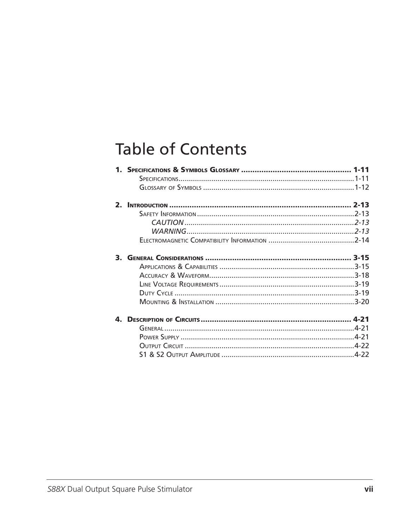# **Table of Contents**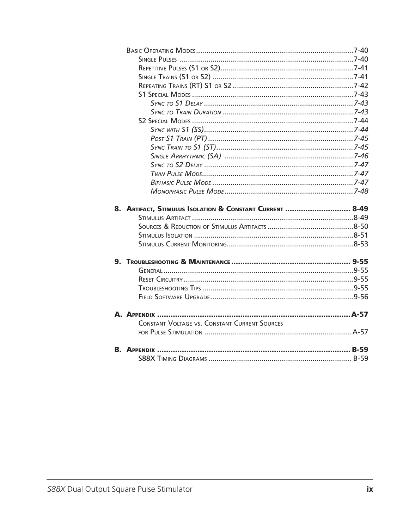| 8. ARTIFACT, STIMULUS ISOLATION & CONSTANT CURRENT  8-49 |  |
|----------------------------------------------------------|--|
|                                                          |  |
|                                                          |  |
|                                                          |  |
|                                                          |  |
|                                                          |  |
|                                                          |  |
|                                                          |  |
|                                                          |  |
|                                                          |  |
|                                                          |  |
|                                                          |  |
|                                                          |  |
| <b>CONSTANT VOLTAGE VS. CONSTANT CURRENT SOURCES</b>     |  |
|                                                          |  |
|                                                          |  |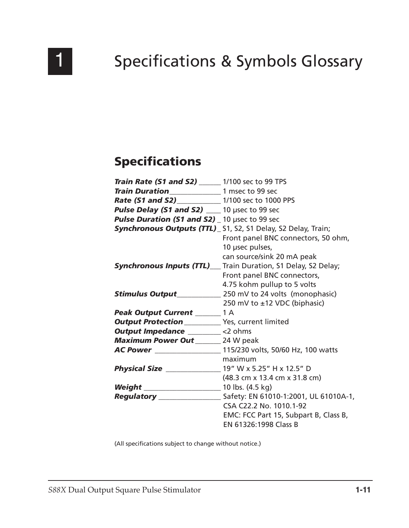

# **Specifications & Symbols Glossary**

## **Specifications**

| <b>Train Rate (S1 and S2)</b> ______ 1/100 sec to 99 TPS |                                                                          |
|----------------------------------------------------------|--------------------------------------------------------------------------|
| Train Duration<br>1 msec to 99 sec                       |                                                                          |
| <b>Rate (S1 and S2)</b> 1/100 sec to 1000 PPS            |                                                                          |
| Pulse Delay (S1 and S2) __ 10 µsec to 99 sec             |                                                                          |
| Pulse Duration (S1 and S2) _ 10 µsec to 99 sec           |                                                                          |
|                                                          | <b>Synchronous Outputs (TTL)</b> _ S1, S2, S1 Delay, S2 Delay, Train;    |
|                                                          | Front panel BNC connectors, 50 ohm,                                      |
|                                                          | 10 µsec pulses,                                                          |
|                                                          | can source/sink 20 mA peak                                               |
|                                                          | <b>Synchronous Inputs (TTL)</b> Train Duration, S1 Delay, S2 Delay;      |
|                                                          | Front panel BNC connectors,                                              |
|                                                          | 4.75 kohm pullup to 5 volts                                              |
|                                                          | <b>Stimulus Output</b> 250 mV to 24 volts (monophasic)                   |
|                                                          | 250 mV to ±12 VDC (biphasic)                                             |
| Peak Output Current _______ 1 A                          |                                                                          |
|                                                          |                                                                          |
| <b>Output Impedance</b> ________ <2 ohms                 |                                                                          |
| <b>Maximum Power Out</b> _______ 24 W peak               |                                                                          |
|                                                          | <b>AC Power</b> _____________________ 115/230 volts, 50/60 Hz, 100 watts |
|                                                          | maximum                                                                  |
|                                                          |                                                                          |
|                                                          | (48.3 cm x 13.4 cm x 31.8 cm)                                            |
|                                                          |                                                                          |
|                                                          |                                                                          |
|                                                          | CSA C22.2 No. 1010.1-92                                                  |
|                                                          | EMC: FCC Part 15, Subpart B, Class B,                                    |
|                                                          | EN 61326:1998 Class B                                                    |

(All specifications subject to change without notice.)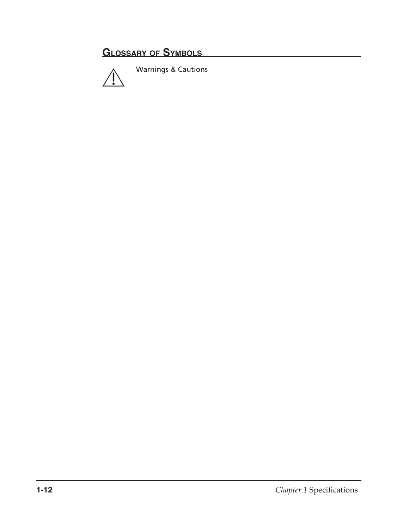## **Glossary of Symbols**



Warnings & Cautions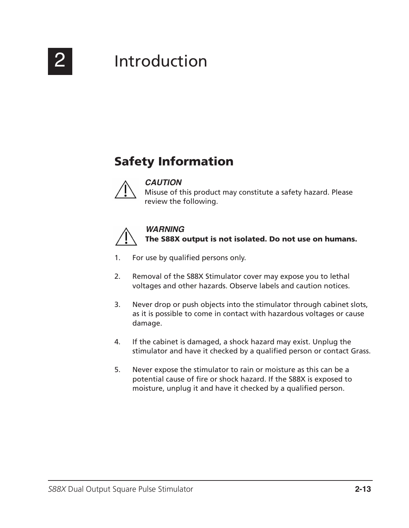

# 2 Introduction

## Safety Information



### **CAUTION**

Misuse of this product may constitute a safety hazard. Please review the following.



### **WARNING**

The S88X output is not isolated. Do not use on humans.

- 1. For use by qualified persons only.
- 2. Removal of the S88X Stimulator cover may expose you to lethal voltages and other hazards. Observe labels and caution notices.
- 3. Never drop or push objects into the stimulator through cabinet slots, as it is possible to come in contact with hazardous voltages or cause damage.
- 4. If the cabinet is damaged, a shock hazard may exist. Unplug the stimulator and have it checked by a qualified person or contact Grass.
- 5. Never expose the stimulator to rain or moisture as this can be a potential cause of fire or shock hazard. If the S88X is exposed to moisture, unplug it and have it checked by a qualified person.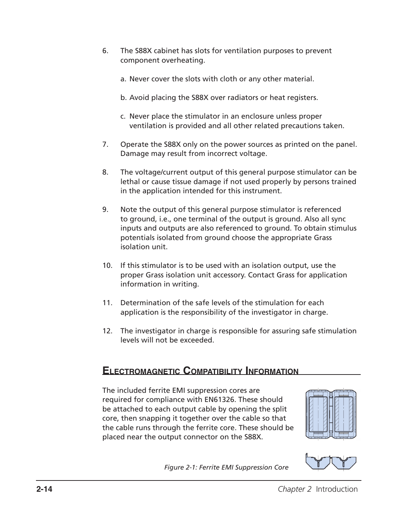- 6. The S88X cabinet has slots for ventilation purposes to prevent component overheating.
	- a. Never cover the slots with cloth or any other material.
	- b. Avoid placing the S88X over radiators or heat registers.
	- c. Never place the stimulator in an enclosure unless proper ventilation is provided and all other related precautions taken.
- 7. Operate the S88X only on the power sources as printed on the panel. Damage may result from incorrect voltage.
- 8. The voltage/current output of this general purpose stimulator can be lethal or cause tissue damage if not used properly by persons trained in the application intended for this instrument.
- 9. Note the output of this general purpose stimulator is referenced to ground, i.e., one terminal of the output is ground. Also all sync inputs and outputs are also referenced to ground. To obtain stimulus potentials isolated from ground choose the appropriate Grass isolation unit.
- 10. If this stimulator is to be used with an isolation output, use the proper Grass isolation unit accessory. Contact Grass for application information in writing.
- 11. Determination of the safe levels of the stimulation for each application is the responsibility of the investigator in charge.
- 12. The investigator in charge is responsible for assuring safe stimulation levels will not be exceeded.

## **Electromagnetic Compatibility Information**

The included ferrite EMI suppression cores are required for compliance with EN61326. These should be attached to each output cable by opening the split core, then snapping it together over the cable so that the cable runs through the ferrite core. These should be placed near the output connector on the S88X.





*Figure 2-1: Ferrite EMI Suppression Core*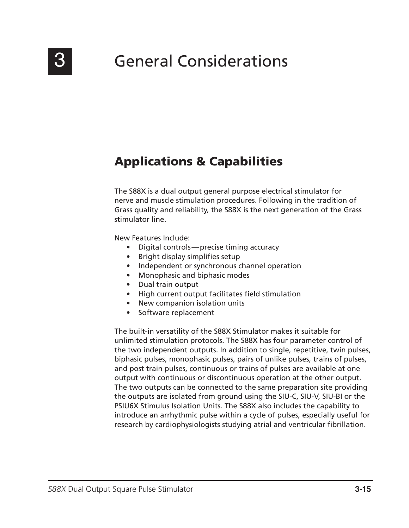## Applications & Capabilities

The S88X is a dual output general purpose electrical stimulator for nerve and muscle stimulation procedures. Following in the tradition of Grass quality and reliability, the S88X is the next generation of the Grass stimulator line.

New Features Include:

- Digital controls—precise timing accuracy
- Bright display simplifies setup
- Independent or synchronous channel operation
- Monophasic and biphasic modes
- Dual train output
- High current output facilitates field stimulation
- New companion isolation units
- Software replacement

The built-in versatility of the S88X Stimulator makes it suitable for unlimited stimulation protocols. The S88X has four parameter control of the two independent outputs. In addition to single, repetitive, twin pulses, biphasic pulses, monophasic pulses, pairs of unlike pulses, trains of pulses, and post train pulses, continuous or trains of pulses are available at one output with continuous or discontinuous operation at the other output. The two outputs can be connected to the same preparation site providing the outputs are isolated from ground using the SIU-C, SIU-V, SIU-BI or the PSIU6X Stimulus Isolation Units. The S88X also includes the capability to introduce an arrhythmic pulse within a cycle of pulses, especially useful for research by cardiophysiologists studying atrial and ventricular fibrillation.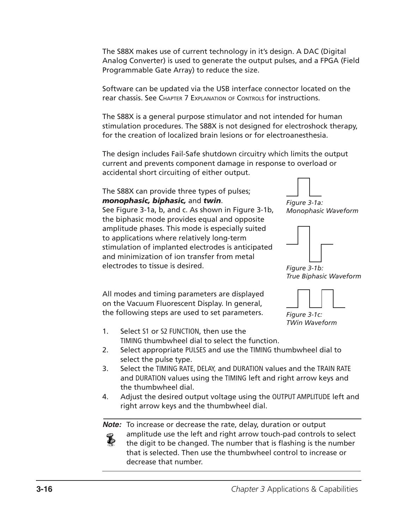The S88X makes use of current technology in it's design. A DAC (Digital Analog Converter) is used to generate the output pulses, and a FPGA (Field Programmable Gate Array) to reduce the size.

Software can be updated via the USB interface connector located on the rear chassis. See Chapter 7 Explanation of Controls for instructions.

The S88X is a general purpose stimulator and not intended for human stimulation procedures. The S88X is not designed for electroshock therapy, for the creation of localized brain lesions or for electroanesthesia.

The design includes Fail-Safe shutdown circuitry which limits the output current and prevents component damage in response to overload or accidental short circuiting of either output.

### The S88X can provide three types of pulses; *monophasic, biphasic,* and *twin*.

See Figure 3-1a, b, and c. As shown in Figure 3-1b, the biphasic mode provides equal and opposite amplitude phases. This mode is especially suited to applications where relatively long-term stimulation of implanted electrodes is anticipated and minimization of ion transfer from metal electrodes to tissue is desired.

All modes and timing parameters are displayed on the Vacuum Fluorescent Display. In general, the following steps are used to set parameters.



*Figure 3-1a: Monophasic Waveform*



*Figure 3-1b: True Biphasic Waveform*



*Figure 3-1c: TWin Waveform*

- 1. Select S1 or S2 FUNCTION, then use the TIMING thumbwheel dial to select the function.
- 2. Select appropriate PULSES and use the TIMING thumbwheel dial to select the pulse type.
- 3. Select the TIMING RATE, DELAY, and DURATION values and the TRAIN RATE and DURATION values using the TIMING left and right arrow keys and the thumbwheel dial.
- 4. Adjust the desired output voltage using the OUTPUT AMPLITUDE left and right arrow keys and the thumbwheel dial.

**Note:** To increase or decrease the rate, delay, duration or output

amplitude use the left and right arrow touch-pad controls to select Ł the digit to be changed. The number that is flashing is the number that is selected. Then use the thumbwheel control to increase or decrease that number.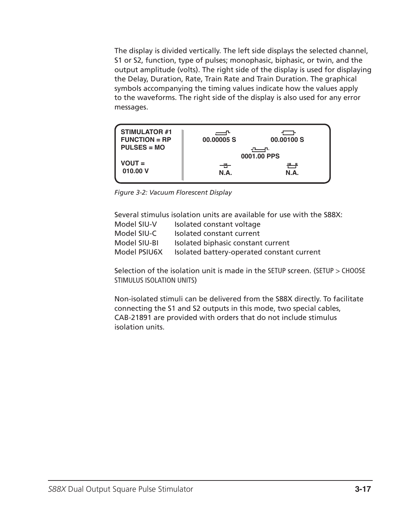The display is divided vertically. The left side displays the selected channel, S1 or S2, function, type of pulses; monophasic, biphasic, or twin, and the output amplitude (volts). The right side of the display is used for displaying the Delay, Duration, Rate, Train Rate and Train Duration. The graphical symbols accompanying the timing values indicate how the values apply to the waveforms. The right side of the display is also used for any error messages.



*Figure 3-2: Vacuum Florescent Display*

|              | Several stimulus isolation units are available for use with the S88X: |
|--------------|-----------------------------------------------------------------------|
| Model SIU-V  | Isolated constant voltage                                             |
| Model SIU-C  | Isolated constant current                                             |
| Model SIU-BI | Isolated biphasic constant current                                    |
| Model PSIU6X | Isolated battery-operated constant current                            |

Selection of the isolation unit is made in the SETUP screen. (SETUP > CHOOSE STIMULUS ISOLATION UNITS)

Non-isolated stimuli can be delivered from the S88X directly. To facilitate connecting the S1 and S2 outputs in this mode, two special cables, CAB-21891 are provided with orders that do not include stimulus isolation units.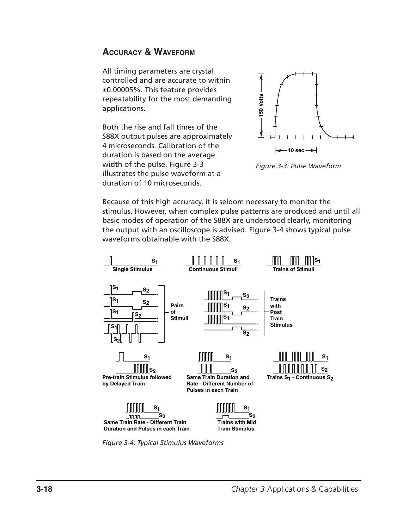## **Accuracy & Waveform**

All timing parameters are crystal controlled and are accurate to within ±0.00005%. This feature provides repeatability for the most demanding applications.

Both the rise and fall times of the S88X output pulses are approximately 4 microseconds. Calibration of the duration is based on the average width of the pulse. Figure 3-3 illustrates the pulse waveform at a duration of 10 microseconds.





Because of this high accuracy, it is seldom necessary to monitor the stimulus. However, when complex pulse patterns are produced and until all basic modes of operation of the S88X are understood clearly, monitoring the output with an oscilloscope is advised. Figure 3-4 shows typical pulse waveforms obtainable with the S88X.



*Figure 3-4: Typical Stimulus Waveforms*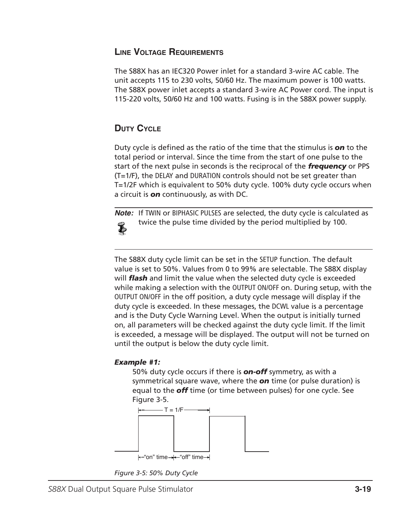## **Line Voltage Requirements**

The S88X has an IEC320 Power inlet for a standard 3-wire AC cable. The unit accepts 115 to 230 volts, 50/60 Hz. The maximum power is 100 watts. The S88X power inlet accepts a standard 3-wire AC Power cord. The input is 115-220 volts, 50/60 Hz and 100 watts. Fusing is in the S88X power supply.

## **Duty Cycle**

Duty cycle is defined as the ratio of the time that the stimulus is *on* to the total period or interval. Since the time from the start of one pulse to the start of the next pulse in seconds is the reciprocal of the *frequency* or PPS (T=1/F), the DELAY and DURATION controls should not be set greater than T=1/2F which is equivalent to 50% duty cycle. 100% duty cycle occurs when a circuit is *on* continuously, as with DC.

**Note:** If TWIN or BIPHASIC PULSES are selected, the duty cycle is calculated as twice the pulse time divided by the period multiplied by 100. Ł

The S88X duty cycle limit can be set in the SETUP function. The default value is set to 50%. Values from 0 to 99% are selectable. The S88X display will *flash* and limit the value when the selected duty cycle is exceeded while making a selection with the OUTPUT ON/OFF on. During setup, with the OUTPUT ON/OFF in the off position, a duty cycle message will display if the duty cycle is exceeded. In these messages, the DCWL value is a percentage and is the Duty Cycle Warning Level. When the output is initially turned on, all parameters will be checked against the duty cycle limit. If the limit is exceeded, a message will be displayed. The output will not be turned on until the output is below the duty cycle limit.

## *Example #1:*

50% duty cycle occurs if there is *on-off* symmetry, as with a symmetrical square wave, where the *on* time (or pulse duration) is equal to the *off* time (or time between pulses) for one cycle. See Figure 3-5.



*Figure 3-5: 50% Duty Cycle*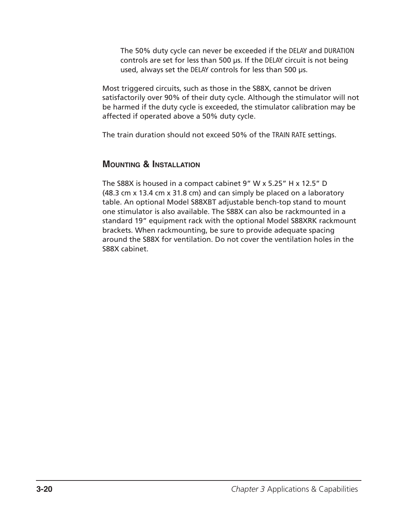The 50% duty cycle can never be exceeded if the DELAY and DURATION controls are set for less than 500 µs. If the DELAY circuit is not being used, always set the DELAY controls for less than 500 µs.

Most triggered circuits, such as those in the S88X, cannot be driven satisfactorily over 90% of their duty cycle. Although the stimulator will not be harmed if the duty cycle is exceeded, the stimulator calibration may be affected if operated above a 50% duty cycle.

The train duration should not exceed 50% of the TRAIN RATE settings.

## **Mounting & Installation**

The S88X is housed in a compact cabinet 9" W x 5.25" H x 12.5" D (48.3 cm x 13.4 cm x 31.8 cm) and can simply be placed on a laboratory table. An optional Model S88XBT adjustable bench-top stand to mount one stimulator is also available. The S88X can also be rackmounted in a standard 19" equipment rack with the optional Model S88XRK rackmount brackets. When rackmounting, be sure to provide adequate spacing around the S88X for ventilation. Do not cover the ventilation holes in the S88X cabinet.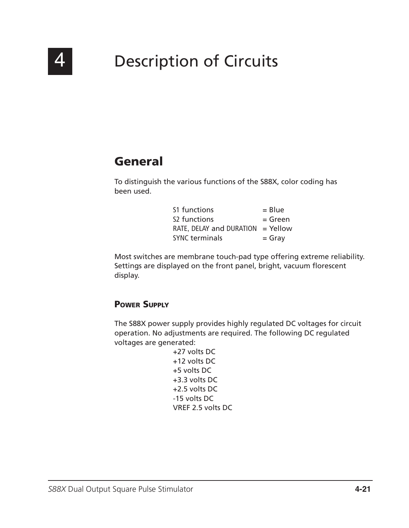

# 4 Description of Circuits

## General

To distinguish the various functions of the S88X, color coding has been used.

| S1 functions             | $=$ Blue   |
|--------------------------|------------|
| S <sub>2</sub> functions | $=$ Green  |
| RATE, DELAY and DURATION | $=$ Yellow |
| <b>SYNC terminals</b>    | $=$ Gray   |

Most switches are membrane touch-pad type offering extreme reliability. Settings are displayed on the front panel, bright, vacuum florescent display.

## Power Supply

The S88X power supply provides highly regulated DC voltages for circuit operation. No adjustments are required. The following DC regulated voltages are generated:

+27 volts DC +12 volts DC +5 volts DC +3.3 volts DC +2.5 volts DC -15 volts DC VREF 2.5 volts DC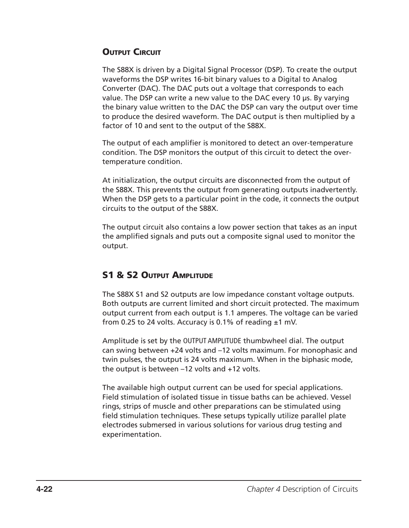## **OUTPUT CIRCUIT**

The S88X is driven by a Digital Signal Processor (DSP). To create the output waveforms the DSP writes 16-bit binary values to a Digital to Analog Converter (DAC). The DAC puts out a voltage that corresponds to each value. The DSP can write a new value to the DAC every 10 µs. By varying the binary value written to the DAC the DSP can vary the output over time to produce the desired waveform. The DAC output is then multiplied by a factor of 10 and sent to the output of the S88X.

The output of each amplifier is monitored to detect an over-temperature condition. The DSP monitors the output of this circuit to detect the overtemperature condition.

At initialization, the output circuits are disconnected from the output of the S88X. This prevents the output from generating outputs inadvertently. When the DSP gets to a particular point in the code, it connects the output circuits to the output of the S88X.

The output circuit also contains a low power section that takes as an input the amplified signals and puts out a composite signal used to monitor the output.

## S1 & S2 Output Amplitude

The S88X S1 and S2 outputs are low impedance constant voltage outputs. Both outputs are current limited and short circuit protected. The maximum output current from each output is 1.1 amperes. The voltage can be varied from 0.25 to 24 volts. Accuracy is 0.1% of reading  $±1$  mV.

Amplitude is set by the OUTPUT AMPLITUDE thumbwheel dial. The output can swing between +24 volts and –12 volts maximum. For monophasic and twin pulses, the output is 24 volts maximum. When in the biphasic mode, the output is between –12 volts and +12 volts.

The available high output current can be used for special applications. Field stimulation of isolated tissue in tissue baths can be achieved. Vessel rings, strips of muscle and other preparations can be stimulated using field stimulation techniques. These setups typically utilize parallel plate electrodes submersed in various solutions for various drug testing and experimentation.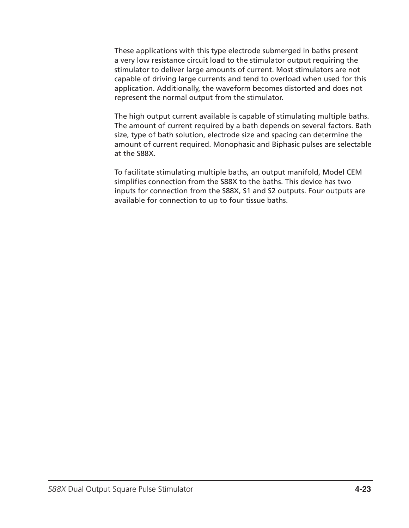These applications with this type electrode submerged in baths present a very low resistance circuit load to the stimulator output requiring the stimulator to deliver large amounts of current. Most stimulators are not capable of driving large currents and tend to overload when used for this application. Additionally, the waveform becomes distorted and does not represent the normal output from the stimulator.

The high output current available is capable of stimulating multiple baths. The amount of current required by a bath depends on several factors. Bath size, type of bath solution, electrode size and spacing can determine the amount of current required. Monophasic and Biphasic pulses are selectable at the S88X.

To facilitate stimulating multiple baths, an output manifold, Model CEM simplifies connection from the S88X to the baths. This device has two inputs for connection from the S88X, S1 and S2 outputs. Four outputs are available for connection to up to four tissue baths.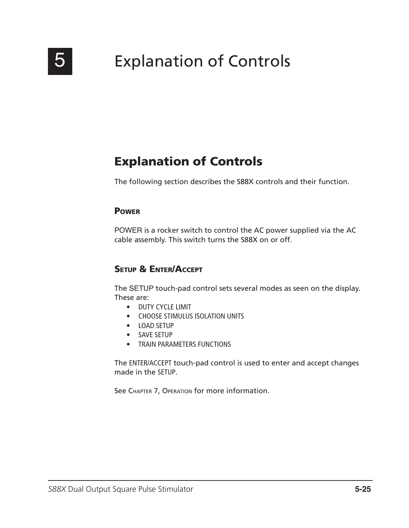

# 5 Explanation of Controls

## Explanation of Controls

The following section describes the S88X controls and their function.

### **POWER**

POWER is a rocker switch to control the AC power supplied via the AC cable assembly. This switch turns the S88X on or off.

## Setup & Enter/Accept

The SETUP touch-pad control sets several modes as seen on the display. These are:

- DUTY CYCLE LIMIT
- CHOOSE STIMULUS ISOLATION UNITS
- LOAD SETUP
- SAVE SETUP
- TRAIN PARAMETERS FUNCTIONS

The ENTER/ACCEPT touch-pad control is used to enter and accept changes made in the SETUP.

See CHAPTER 7, OPERATION for more information.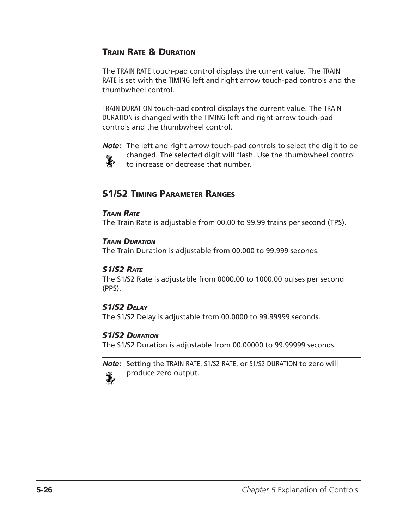## Train Rate & Duration

The TRAIN RATE touch-pad control displays the current value. The TRAIN RATE is set with the TIMING left and right arrow touch-pad controls and the thumbwheel control.

TRAIN DURATION touch-pad control displays the current value. The TRAIN DURATION is changed with the TIMING left and right arrow touch-pad controls and the thumbwheel control.

**Note:** The left and right arrow touch-pad controls to select the digit to be changed. The selected digit will flash. Use the thumbwheel control  $\tilde{\bm{v}}$ to increase or decrease that number.

## S1/S2 Timing Parameter Ranges

#### *Train Rate*

The Train Rate is adjustable from 00.00 to 99.99 trains per second (TPS).

### *Train Duration*

The Train Duration is adjustable from 00.000 to 99.999 seconds.

### *S1/S2 Rate*

The S1/S2 Rate is adjustable from 0000.00 to 1000.00 pulses per second (PPS).

### *S1/S2 Delay*

The S1/S2 Delay is adjustable from 00.0000 to 99.99999 seconds.

### *S1/S2 Duration*

The S1/S2 Duration is adjustable from 00.00000 to 99.99999 seconds.

**Note:** Setting the TRAIN RATE, S1/S2 RATE, or S1/S2 DURATION to zero will produce zero output. $\bf{z}$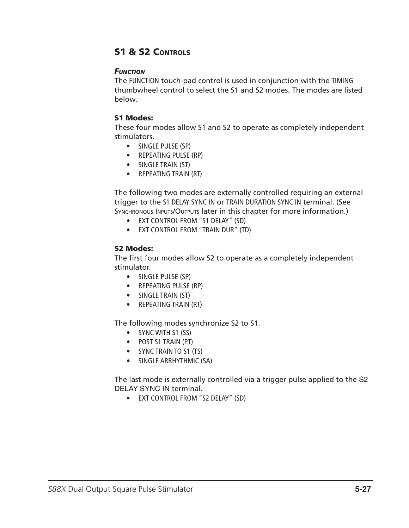## S1 & S2 CONTROLS

#### *Function*

The FUNCTION touch-pad control is used in conjunction with the TIMING thumbwheel control to select the S1 and S2 modes. The modes are listed below.

#### S1 Modes:

These four modes allow S1 and S2 to operate as completely independent stimulators.

- SINGLE PULSE (SP)
- REPEATING PULSE (RP)
- SINGLE TRAIN (ST)
- REPEATING TRAIN (RT)

The following two modes are externally controlled requiring an external trigger to the S1 DELAY SYNC IN or TRAIN DURATION SYNC IN terminal. (See SYNCHRONOUS INPUTS/OUTPUTS later in this chapter for more information.)

- EXT CONTROL FROM "S1 DELAY" (SD)
- EXT CONTROL FROM "TRAIN DUR" (TD)

#### S2 Modes:

The first four modes allow S2 to operate as a completely independent stimulator.

- SINGLE PULSE (SP)
- REPEATING PULSE (RP)
- SINGLE TRAIN (ST)
- REPEATING TRAIN (RT)

The following modes synchronize S2 to S1.

- SYNC WITH S1 (SS)
- POST S1 TRAIN (PT)
- SYNC TRAIN TO S1 (TS)
- SINGLE ARRHYTHMIC (SA)

The last mode is externally controlled via a trigger pulse applied to the S2 DELAY SYNC IN terminal.

• EXT CONTROL FROM "S2 DELAY" (SD)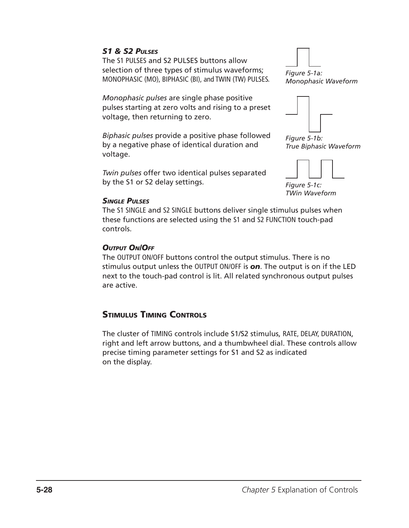## *S1 & S2 Pulses*

The S1 PULSES and S2 PULSES buttons allow selection of three types of stimulus waveforms; MONOPHASIC (MO), BIPHASIC (BI), and TWIN (TW) PULSES.

*Monophasic pulses* are single phase positive pulses starting at zero volts and rising to a preset voltage, then returning to zero.

*Biphasic pulses* provide a positive phase followed by a negative phase of identical duration and voltage.

*Twin pulses* offer two identical pulses separated by the S1 or S2 delay settings.

*Figure 5-1a: Monophasic Waveform*



*Figure 5-1b: True Biphasic Waveform*



*TWin Waveform*

#### *Single Pulses*

The S1 SINGLE and S2 SINGLE buttons deliver single stimulus pulses when these functions are selected using the S1 and S2 FUNCTION touch-pad controls.

#### *Output On/Off*

The OUTPUT ON/OFF buttons control the output stimulus. There is no stimulus output unless the OUTPUT ON/OFF is *on*. The output is on if the LED next to the touch-pad control is lit. All related synchronous output pulses are active.

## Stimulus Timing Controls

The cluster of TIMING controls include S1/S2 stimulus, RATE, DELAY, DURATION, right and left arrow buttons, and a thumbwheel dial. These controls allow precise timing parameter settings for S1 and S2 as indicated on the display.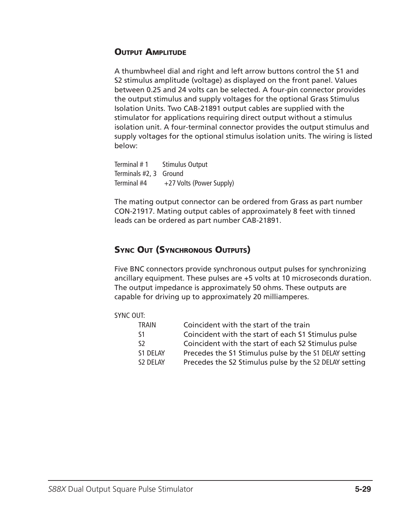## **OUTPUT AMPLITUDE**

A thumbwheel dial and right and left arrow buttons control the S1 and S2 stimulus amplitude (voltage) as displayed on the front panel. Values between 0.25 and 24 volts can be selected. A four-pin connector provides the output stimulus and supply voltages for the optional Grass Stimulus Isolation Units. Two CAB-21891 output cables are supplied with the stimulator for applications requiring direct output without a stimulus isolation unit. A four-terminal connector provides the output stimulus and supply voltages for the optional stimulus isolation units. The wiring is listed below:

Terminal # 1 Stimulus Output Terminals #2, 3 Ground Terminal  $#4$  +27 Volts (Power Supply)

The mating output connector can be ordered from Grass as part number CON-21917. Mating output cables of approximately 8 feet with tinned leads can be ordered as part number CAB-21891.

## Sync Out (Synchronous Outputs)

Five BNC connectors provide synchronous output pulses for synchronizing ancillary equipment. These pulses are +5 volts at 10 microseconds duration. The output impedance is approximately 50 ohms. These outputs are capable for driving up to approximately 20 milliamperes.

#### SYNC OUT:

| <b>TRAIN</b> | Coincident with the start of the train                 |
|--------------|--------------------------------------------------------|
| -S1          | Coincident with the start of each S1 Stimulus pulse    |
| -S2          | Coincident with the start of each S2 Stimulus pulse    |
| S1 DELAY     | Precedes the S1 Stimulus pulse by the S1 DELAY setting |
| S2 DELAY     | Precedes the S2 Stimulus pulse by the S2 DELAY setting |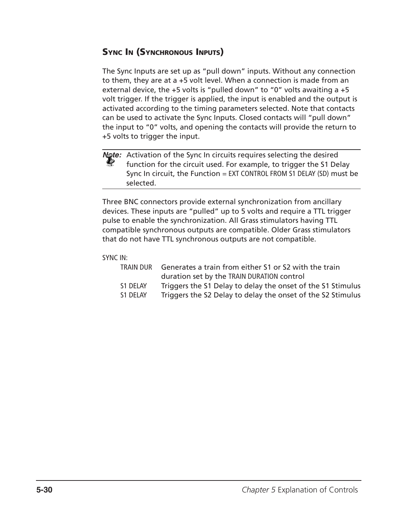## Sync In (Synchronous Inputs)

The Sync Inputs are set up as "pull down" inputs. Without any connection to them, they are at a +5 volt level. When a connection is made from an external device, the +5 volts is "pulled down" to "0" volts awaiting a +5 volt trigger. If the trigger is applied, the input is enabled and the output is activated according to the timing parameters selected. Note that contacts can be used to activate the Sync Inputs. Closed contacts will "pull down" the input to "0" volts, and opening the contacts will provide the return to +5 volts to trigger the input.

**Note:** Activation of the Sync In circuits requires selecting the desired<br>**All transfires for the circuit used.** For example, to trigger the S1 De function for the circuit used. For example, to trigger the S1 Delay Sync In circuit, the Function = EXT CONTROL FROM S1 DELAY (SD) must be selected.

Three BNC connectors provide external synchronization from ancillary devices. These inputs are "pulled" up to 5 volts and require a TTL trigger pulse to enable the synchronization. All Grass stimulators having TTL compatible synchronous outputs are compatible. Older Grass stimulators that do not have TTL synchronous outputs are not compatible.

### SYNC IN:

| TRAIN DUR | Generates a train from either S1 or S2 with the train       |
|-----------|-------------------------------------------------------------|
|           | duration set by the TRAIN DURATION control                  |
| S1 DELAY  | Triggers the S1 Delay to delay the onset of the S1 Stimulus |
| S1 DELAY  | Triggers the S2 Delay to delay the onset of the S2 Stimulus |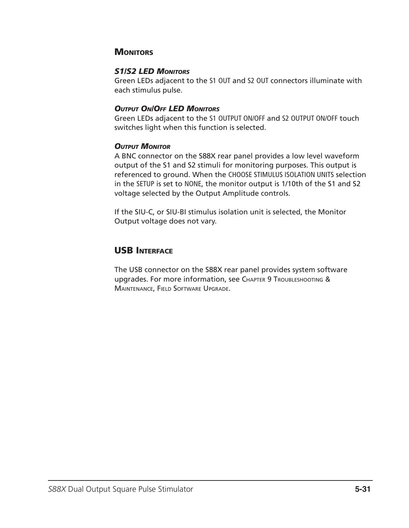## **MONITORS**

### *S1/S2 LED Monitors*

Green LEDs adjacent to the S1 OUT and S2 OUT connectors illuminate with each stimulus pulse.

### *Output On/Off LED Monitors*

Green LEDs adjacent to the S1 OUTPUT ON/OFF and S2 OUTPUT ON/OFF touch switches light when this function is selected.

### *Output Monitor*

A BNC connector on the S88X rear panel provides a low level waveform output of the S1 and S2 stimuli for monitoring purposes. This output is referenced to ground. When the CHOOSE STIMULUS ISOLATION UNITS selection in the SETUP is set to NONE, the monitor output is 1/10th of the S1 and S2 voltage selected by the Output Amplitude controls.

If the SIU-C, or SIU-BI stimulus isolation unit is selected, the Monitor Output voltage does not vary.

## USB Interface

The USB connector on the S88X rear panel provides system software upgrades. For more information, see Chapter 9 Troubleshooting & Maintenance, Field Software Upgrade.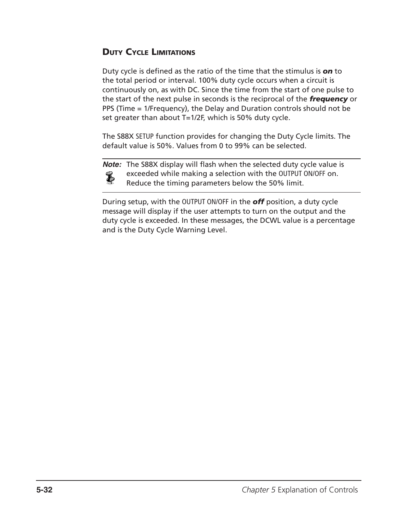## Duty Cycle Limitations

Duty cycle is defined as the ratio of the time that the stimulus is *on* to the total period or interval. 100% duty cycle occurs when a circuit is continuously on, as with DC. Since the time from the start of one pulse to the start of the next pulse in seconds is the reciprocal of the *frequency* or PPS (Time = 1/Frequency), the Delay and Duration controls should not be set greater than about T=1/2F, which is 50% duty cycle.

The S88X SETUP function provides for changing the Duty Cycle limits. The default value is 50%. Values from 0 to 99% can be selected.



**Note:** The S88X display will flash when the selected duty cycle value is exceeded while making a selection with the OUTPUT ON/OFF on. Reduce the timing parameters below the 50% limit.

During setup, with the OUTPUT ON/OFF in the *off* position, a duty cycle message will display if the user attempts to turn on the output and the duty cycle is exceeded. In these messages, the DCWL value is a percentage and is the Duty Cycle Warning Level.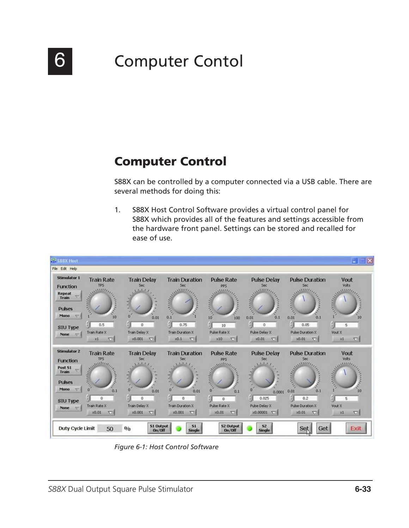

# 6 **Computer Contol**

## Computer Control

S88X can be controlled by a computer connected via a USB cable. There are several methods for doing this:

1. S88X Host Control Software provides a virtual control panel for S88X which provides all of the features and settings accessible from the hardware front panel. Settings can be stored and recalled for ease of use.



*Figure 6-1: Host Control Software*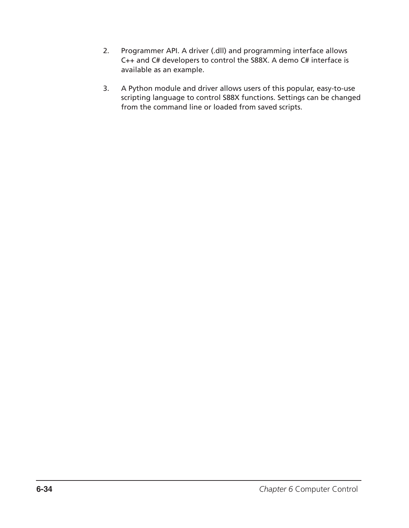- 2. Programmer API. A driver (.dll) and programming interface allows C++ and C# developers to control the S88X. A demo C# interface is available as an example.
- 3. A Python module and driver allows users of this popular, easy-to-use scripting language to control S88X functions. Settings can be changed from the command line or loaded from saved scripts.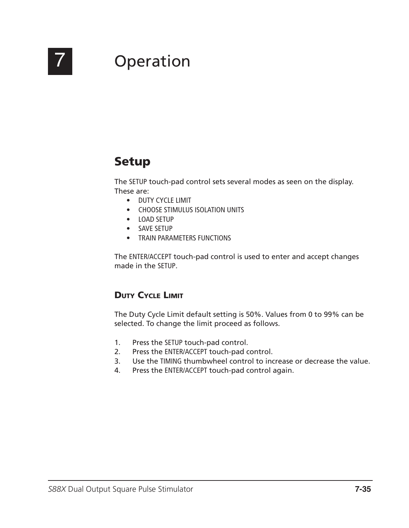

# 7 Operation

## Setup

The SETUP touch-pad control sets several modes as seen on the display. These are:

- DUTY CYCLE LIMIT
- CHOOSE STIMULUS ISOLATION UNITS
- LOAD SETUP
- SAVE SETUP
- TRAIN PARAMETERS FUNCTIONS

The ENTER/ACCEPT touch-pad control is used to enter and accept changes made in the SETUP.

## Duty Cycle Limit

The Duty Cycle Limit default setting is 50%. Values from 0 to 99% can be selected. To change the limit proceed as follows.

- 1. Press the SETUP touch-pad control.
- 2. Press the ENTER/ACCEPT touch-pad control.
- 3. Use the TIMING thumbwheel control to increase or decrease the value.
- 4. Press the ENTER/ACCEPT touch-pad control again.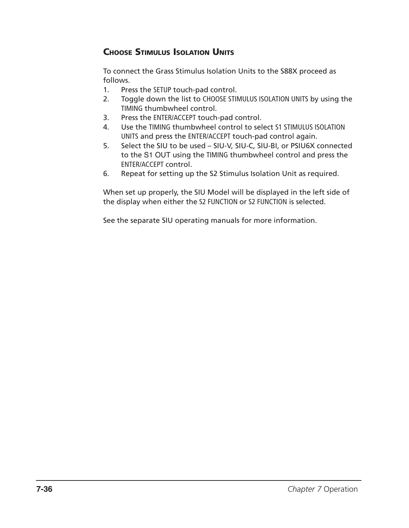## **CHOOSE STIMULUS ISOLATION UNITS**

To connect the Grass Stimulus Isolation Units to the S88X proceed as follows.

- 1. Press the SETUP touch-pad control.
- 2. Toggle down the list to CHOOSE STIMULUS ISOLATION UNITS by using the TIMING thumbwheel control.
- 3. Press the ENTER/ACCEPT touch-pad control.
- 4. Use the TIMING thumbwheel control to select S1 STIMULUS ISOLATION UNITS and press the ENTER/ACCEPT touch-pad control again.
- 5. Select the SIU to be used SIU-V, SIU-C, SIU-BI, or PSIU6X connected to the S1 OUT using the TIMING thumbwheel control and press the ENTER/ACCEPT control.
- 6. Repeat for setting up the S2 Stimulus Isolation Unit as required.

When set up properly, the SIU Model will be displayed in the left side of the display when either the S2 FUNCTION or S2 FUNCTION is selected.

See the separate SIU operating manuals for more information.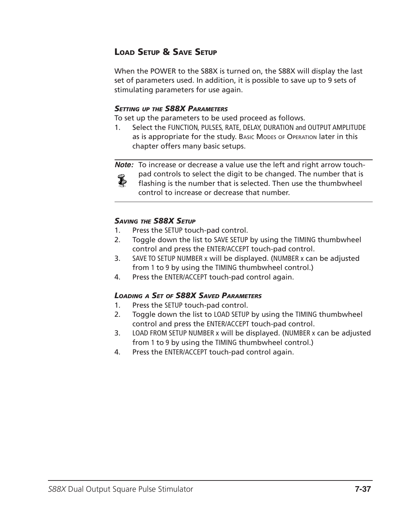## Load Setup & Save Setup

When the POWER to the S88X is turned on, the S88X will display the last set of parameters used. In addition, it is possible to save up to 9 sets of stimulating parameters for use again.

### *Setting up the S88X Parameters*

To set up the parameters to be used proceed as follows.

1. Select the FUNCTION, PULSES, RATE, DELAY, DURATION and OUTPUT AMPLITUDE as is appropriate for the study. Basic Modes of OPERATION later in this chapter offers many basic setups.

**Note:** To increase or decrease a value use the left and right arrow touchpad controls to select the digit to be changed. The number that is L

flashing is the number that is selected. Then use the thumbwheel control to increase or decrease that number.

### *Saving the S88X Setup*

- 1. Press the SETUP touch-pad control.
- 2. Toggle down the list to SAVE SETUP by using the TIMING thumbwheel control and press the ENTER/ACCEPT touch-pad control.
- 3. SAVE TO SETUP NUMBER x will be displayed. (NUMBER x can be adjusted from 1 to 9 by using the TIMING thumbwheel control.)
- 4. Press the ENTER/ACCEPT touch-pad control again.

### *Loading a Set of S88X Saved Parameters*

- 1. Press the SETUP touch-pad control.
- 2. Toggle down the list to LOAD SETUP by using the TIMING thumbwheel control and press the ENTER/ACCEPT touch-pad control.
- 3. LOAD FROM SETUP NUMBER x will be displayed. (NUMBER x can be adjusted from 1 to 9 by using the TIMING thumbwheel control.)
- 4. Press the ENTER/ACCEPT touch-pad control again.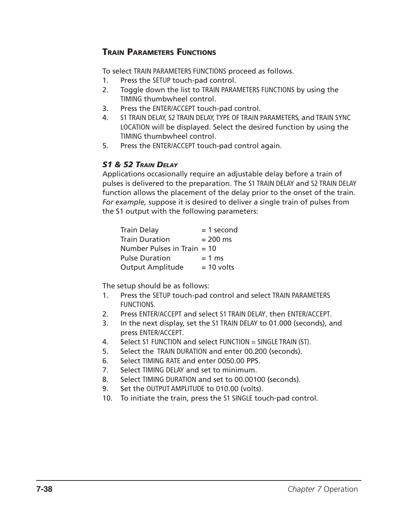## Train Parameters Functions

To select TRAIN PARAMETERS FUNCTIONS proceed as follows.

- 1. Press the SETUP touch-pad control.
- 2. Toggle down the list to TRAIN PARAMETERS FUNCTIONS by using the TIMING thumbwheel control.
- 3. Press the ENTER/ACCEPT touch-pad control.
- 4. S1 TRAIN DELAY, S2 TRAIN DELAY, TYPE OF TRAIN PARAMETERS, and TRAIN SYNC LOCATION will be displayed. Select the desired function by using the TIMING thumbwheel control.
- 5. Press the ENTER/ACCEPT touch-pad control again.

## *S1 & S2 Train Delay*

Applications occasionally require an adjustable delay before a train of pulses is delivered to the preparation. The S1 TRAIN DELAY and S2 TRAIN DELAY function allows the placement of the delay prior to the onset of the train. *For example,* suppose it is desired to deliver a single train of pulses from the S1 output with the following parameters:

| <b>Train Delay</b>            | $= 1$ second |
|-------------------------------|--------------|
| <b>Train Duration</b>         | $= 200$ ms   |
| Number Pulses in Train $=$ 10 |              |
| <b>Pulse Duration</b>         | $= 1$ ms     |
| <b>Output Amplitude</b>       | $= 10$ volts |

The setup should be as follows:

- 1. Press the SETUP touch-pad control and select TRAIN PARAMETERS FUNCTIONS.
- 2. Press ENTER/ACCEPT and select S1 TRAIN DELAY, then ENTER/ACCEPT.
- 3. In the next display, set the S1 TRAIN DELAY to 01.000 (seconds), and press ENTER/ACCEPT.
- 4. Select S1 FUNCTION and select FUNCTION = SINGLE TRAIN (ST).
- 5. Select the TRAIN DURATION and enter 00.200 (seconds).
- 6. Select TIMING RATE and enter 0050.00 PPS.
- 7. Select TIMING DELAY and set to minimum.
- 8. Select TIMING DURATION and set to 00.00100 (seconds).
- 9. Set the OUTPUT AMPLITUDE to 010.00 (volts).
- 10. To initiate the train, press the S1 SINGLE touch-pad control.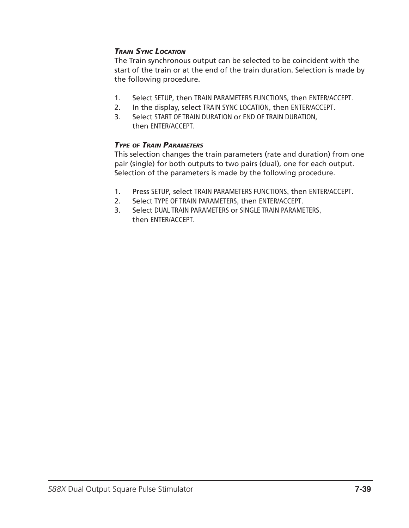## *Train Sync Location*

The Train synchronous output can be selected to be coincident with the start of the train or at the end of the train duration. Selection is made by the following procedure.

- 1. Select SETUP, then TRAIN PARAMETERS FUNCTIONS, then ENTER/ACCEPT.
- 2. In the display, select TRAIN SYNC LOCATION, then ENTER/ACCEPT.
- 3. Select START OF TRAIN DURATION or END OF TRAIN DURATION, then ENTER/ACCEPT.

## *Type of Train Parameters*

This selection changes the train parameters (rate and duration) from one pair (single) for both outputs to two pairs (dual), one for each output. Selection of the parameters is made by the following procedure.

- 1. Press SETUP, select TRAIN PARAMETERS FUNCTIONS, then ENTER/ACCEPT.
- 2. Select TYPE OF TRAIN PARAMETERS, then ENTER/ACCEPT.
- 3. Select DUAL TRAIN PARAMETERS or SINGLE TRAIN PARAMETERS, then ENTER/ACCEPT.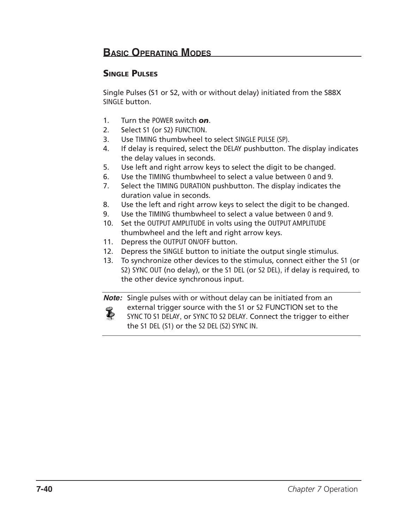## Single Pulses

Single Pulses (S1 or S2, with or without delay) initiated from the S88X SINGLE button.

- 1. Turn the POWER switch *on*.
- 2. Select S1 (or S2) FUNCTION.
- 3. Use TIMING thumbwheel to select SINGLE PULSE (SP).
- 4. If delay is required, select the DELAY pushbutton. The display indicates the delay values in seconds.
- 5. Use left and right arrow keys to select the digit to be changed.
- 6. Use the TIMING thumbwheel to select a value between 0 and 9.
- 7. Select the TIMING DURATION pushbutton. The display indicates the duration value in seconds.
- 8. Use the left and right arrow keys to select the digit to be changed.
- 9. Use the TIMING thumbwheel to select a value between 0 and 9.
- 10. Set the OUTPUT AMPLITUDE in volts using the OUTPUT AMPLITUDE thumbwheel and the left and right arrow keys.
- 11. Depress the OUTPUT ON/OFF button.
- 12. Depress the SINGLE button to initiate the output single stimulus.
- 13. To synchronize other devices to the stimulus, connect either the S1 (or S2) SYNC OUT (no delay), or the S1 DEL (or S2 DEL), if delay is required, to the other device synchronous input.

**Note:** Single pulses with or without delay can be initiated from an external trigger source with the S1 or S2 FUNCTION set to the Ł SYNC TO S1 DELAY, or SYNC TO S2 DELAY. Connect the trigger to either the S1 DEL (S1) or the S2 DEL (S2) SYNC IN.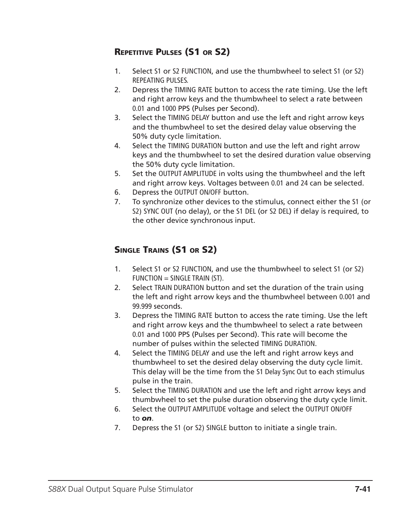## Repetitive Pulses (S1 or S2)

- 1. Select S1 or S2 FUNCTION, and use the thumbwheel to select S1 (or S2) REPEATING PULSES.
- 2. Depress the TIMING RATE button to access the rate timing. Use the left and right arrow keys and the thumbwheel to select a rate between 0.01 and 1000 PPS (Pulses per Second).
- 3. Select the TIMING DELAY button and use the left and right arrow keys and the thumbwheel to set the desired delay value observing the 50% duty cycle limitation.
- 4. Select the TIMING DURATION button and use the left and right arrow keys and the thumbwheel to set the desired duration value observing the 50% duty cycle limitation.
- 5. Set the OUTPUT AMPLITUDE in volts using the thumbwheel and the left and right arrow keys. Voltages between 0.01 and 24 can be selected.
- 6. Depress the OUTPUT ON/OFF button.
- 7. To synchronize other devices to the stimulus, connect either the S1 (or S2) SYNC OUT (no delay), or the S1 DEL (or S2 DEL) if delay is required, to the other device synchronous input.

## Single Trains (S1 or S2)

- 1. Select S1 or S2 FUNCTION, and use the thumbwheel to select S1 (or S2)  $FUNCTION = SINGLE TRAIN (ST).$
- 2. Select TRAIN DURATION button and set the duration of the train using the left and right arrow keys and the thumbwheel between 0.001 and 99.999 seconds.
- 3. Depress the TIMING RATE button to access the rate timing. Use the left and right arrow keys and the thumbwheel to select a rate between 0.01 and 1000 PPS (Pulses per Second). This rate will become the number of pulses within the selected TIMING DURATION.
- 4. Select the TIMING DELAY and use the left and right arrow keys and thumbwheel to set the desired delay observing the duty cycle limit. This delay will be the time from the S1 Delay Sync Out to each stimulus pulse in the train.
- 5. Select the TIMING DURATION and use the left and right arrow keys and thumbwheel to set the pulse duration observing the duty cycle limit.
- 6. Select the OUTPUT AMPLITUDE voltage and select the OUTPUT ON/OFF to *on*.
- 7. Depress the S1 (or S2) SINGLE button to initiate a single train.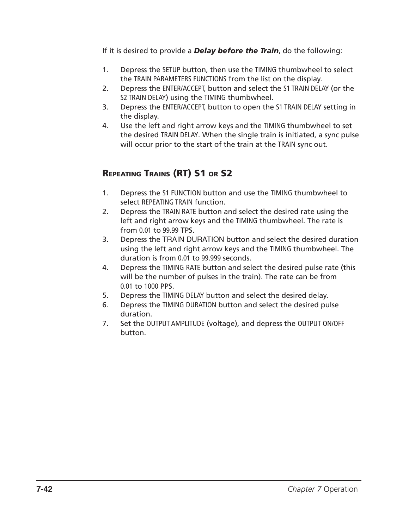If it is desired to provide a *Delay before the Train*, do the following:

- 1. Depress the SETUP button, then use the TIMING thumbwheel to select the TRAIN PARAMETERS FUNCTIONS from the list on the display.
- 2. Depress the ENTER/ACCEPT, button and select the S1 TRAIN DELAY (or the S2 TRAIN DELAY) using the TIMING thumbwheel.
- 3. Depress the ENTER/ACCEPT, button to open the S1 TRAIN DELAY setting in the display.
- 4. Use the left and right arrow keys and the TIMING thumbwheel to set the desired TRAIN DELAY. When the single train is initiated, a sync pulse will occur prior to the start of the train at the TRAIN sync out.

## Repeating Trains (RT) S1 or S2

- 1. Depress the S1 FUNCTION button and use the TIMING thumbwheel to select REPEATING TRAIN function.
- 2. Depress the TRAIN RATE button and select the desired rate using the left and right arrow keys and the TIMING thumbwheel. The rate is from 0.01 to 99.99 TPS.
- 3. Depress the TRAIN DURATION button and select the desired duration using the left and right arrow keys and the TIMING thumbwheel. The duration is from 0.01 to 99.999 seconds.
- 4. Depress the TIMING RATE button and select the desired pulse rate (this will be the number of pulses in the train). The rate can be from 0.01 to 1000 PPS.
- 5. Depress the TIMING DELAY button and select the desired delay.
- 6. Depress the TIMING DURATION button and select the desired pulse duration.
- 7. Set the OUTPUT AMPLITUDE (voltage), and depress the OUTPUT ON/OFF button.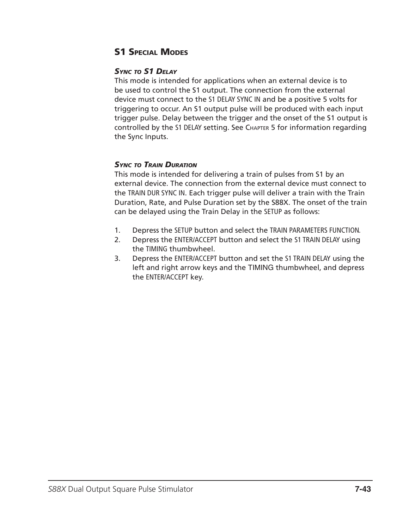## **S1 SPECIAL MODES**

### *Sync to S1 Delay*

This mode is intended for applications when an external device is to be used to control the S1 output. The connection from the external device must connect to the S1 DELAY SYNC IN and be a positive 5 volts for triggering to occur. An S1 output pulse will be produced with each input trigger pulse. Delay between the trigger and the onset of the S1 output is controlled by the S1 DELAY setting. See Chapter 5 for information regarding the Sync Inputs.

### *Sync to Train Duration*

This mode is intended for delivering a train of pulses from S1 by an external device. The connection from the external device must connect to the TRAIN DUR SYNC IN. Each trigger pulse will deliver a train with the Train Duration, Rate, and Pulse Duration set by the S88X. The onset of the train can be delayed using the Train Delay in the SETUP as follows:

- 1. Depress the SETUP button and select the TRAIN PARAMETERS FUNCTION.
- 2. Depress the ENTER/ACCEPT button and select the S1 TRAIN DELAY using the TIMING thumbwheel.
- 3. Depress the ENTER/ACCEPT button and set the S1 TRAIN DELAY using the left and right arrow keys and the TIMING thumbwheel, and depress the ENTER/ACCEPT key.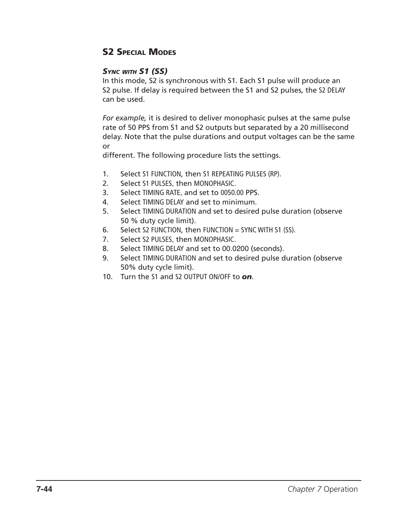## **S2 SPECIAL MODES**

## *Sync with S1 (SS)*

In this mode, S2 is synchronous with S1. Each S1 pulse will produce an S2 pulse. If delay is required between the S1 and S2 pulses, the S2 DELAY can be used.

*For example,* it is desired to deliver monophasic pulses at the same pulse rate of 50 PPS from S1 and S2 outputs but separated by a 20 millisecond delay. Note that the pulse durations and output voltages can be the same or

different. The following procedure lists the settings.

- 1. Select S1 FUNCTION, then S1 REPEATING PULSES (RP).
- 2. Select S1 PULSES, then MONOPHASIC.
- 3. Select TIMING RATE, and set to 0050.00 PPS.
- 4. Select TIMING DELAY and set to minimum.
- 5. Select TIMING DURATION and set to desired pulse duration (observe 50 % duty cycle limit).
- 6. Select S2 FUNCTION, then FUNCTION = SYNC WITH S1 (SS).
- 7. Select S2 PULSES, then MONOPHASIC.
- 8. Select TIMING DELAY and set to 00.0200 (seconds).
- 9. Select TIMING DURATION and set to desired pulse duration (observe 50% duty cycle limit).
- 10. Turn the S1 and S2 OUTPUT ON/OFF to *on*.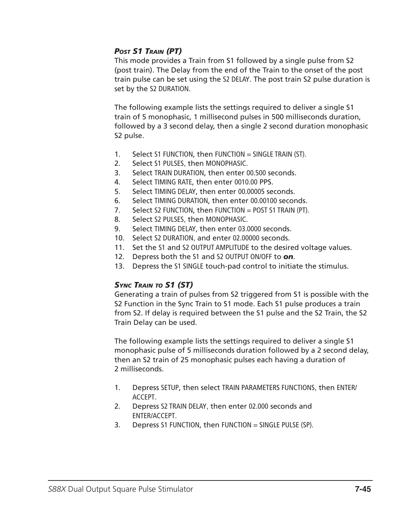## *Post S1 Train (PT)*

This mode provides a Train from S1 followed by a single pulse from S2 (post train). The Delay from the end of the Train to the onset of the post train pulse can be set using the S2 DELAY. The post train S2 pulse duration is set by the S2 DURATION.

The following example lists the settings required to deliver a single S1 train of 5 monophasic, 1 millisecond pulses in 500 milliseconds duration, followed by a 3 second delay, then a single 2 second duration monophasic S2 pulse.

- 1. Select S1 FUNCTION, then FUNCTION = SINGLE TRAIN (ST).
- 2. Select S1 PULSES, then MONOPHASIC.
- 3. Select TRAIN DURATION, then enter 00.500 seconds.
- 4. Select TIMING RATE, then enter 0010.00 PPS.
- 5. Select TIMING DELAY, then enter 00.00005 seconds.
- 6. Select TIMING DURATION, then enter 00.00100 seconds.
- 7. Select S2 FUNCTION, then FUNCTION = POST S1 TRAIN (PT).
- 8. Select S2 PULSES, then MONOPHASIC.
- 9. Select TIMING DELAY, then enter 03.0000 seconds.
- 10. Select S2 DURATION, and enter 02.00000 seconds.
- 11. Set the S1 and S2 OUTPUT AMPLITUDE to the desired voltage values.
- 12. Depress both the S1 and S2 OUTPUT ON/OFF to *on*.
- 13. Depress the S1 SINGLE touch-pad control to initiate the stimulus.

### *Sync Train to S1 (ST)*

Generating a train of pulses from S2 triggered from S1 is possible with the S2 Function in the Sync Train to S1 mode. Each S1 pulse produces a train from S2. If delay is required between the S1 pulse and the S2 Train, the S2 Train Delay can be used.

The following example lists the settings required to deliver a single S1 monophasic pulse of 5 milliseconds duration followed by a 2 second delay, then an S2 train of 25 monophasic pulses each having a duration of 2 milliseconds.

- 1. Depress SETUP, then select TRAIN PARAMETERS FUNCTIONS, then ENTER/ ACCEPT.
- 2. Depress S2 TRAIN DELAY, then enter 02.000 seconds and ENTER/ACCEPT.
- 3. Depress S1 FUNCTION, then FUNCTION = SINGLE PULSE (SP).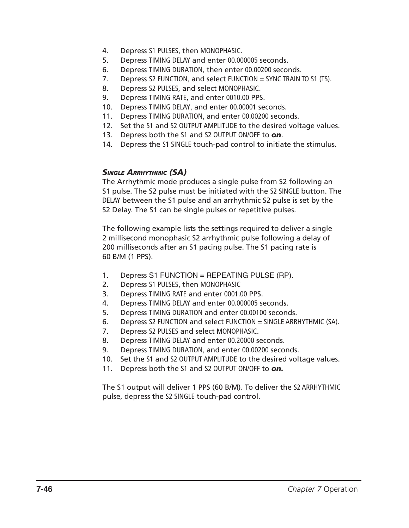- 4. Depress S1 PULSES, then MONOPHASIC.
- 5. Depress TIMING DELAY and enter 00.000005 seconds.
- 6. Depress TIMING DURATION, then enter 00.00200 seconds.
- 7. Depress S2 FUNCTION, and select FUNCTION = SYNC TRAIN TO S1 (TS).
- 8. Depress S2 PULSES, and select MONOPHASIC.
- 9. Depress TIMING RATE, and enter 0010.00 PPS.
- 10. Depress TIMING DELAY, and enter 00.00001 seconds.
- 11. Depress TIMING DURATION, and enter 00.00200 seconds.
- 12. Set the S1 and S2 OUTPUT AMPLITUDE to the desired voltage values.
- 13. Depress both the S1 and S2 OUTPUT ON/OFF to *on*.
- 14. Depress the S1 SINGLE touch-pad control to initiate the stimulus.

### *Single Arrhythmic (SA)*

The Arrhythmic mode produces a single pulse from S2 following an S1 pulse. The S2 pulse must be initiated with the S2 SINGLE button. The DELAY between the S1 pulse and an arrhythmic S2 pulse is set by the S2 Delay. The S1 can be single pulses or repetitive pulses.

The following example lists the settings required to deliver a single 2 millisecond monophasic S2 arrhythmic pulse following a delay of 200 milliseconds after an S1 pacing pulse. The S1 pacing rate is 60 B/M (1 PPS).

- 1. Depress S1 FUNCTION = REPEATING PULSE (RP).
- 2. Depress S1 PULSES, then MONOPHASIC
- 3. Depress TIMING RATE and enter 0001.00 PPS.
- 4. Depress TIMING DELAY and enter 00.000005 seconds.
- 5. Depress TIMING DURATION and enter 00.00100 seconds.
- 6. Depress S2 FUNCTION and select FUNCTION = SINGLE ARRHYTHMIC (SA).
- 7. Depress S2 PULSES and select MONOPHASIC.
- 8. Depress TIMING DELAY and enter 00.20000 seconds.
- 9. Depress TIMING DURATION, and enter 00.00200 seconds.
- 10. Set the S1 and S2 OUTPUT AMPLITUDE to the desired voltage values.
- 11. Depress both the S1 and S2 OUTPUT ON/OFF to *on.*

The S1 output will deliver 1 PPS (60 B/M). To deliver the S2 ARRHYTHMIC pulse, depress the S2 SINGLE touch-pad control.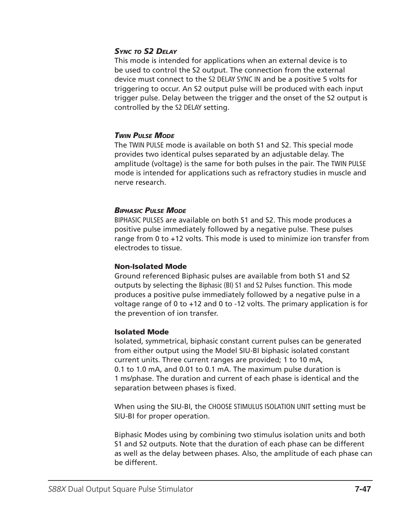### *Sync to S2 Delay*

This mode is intended for applications when an external device is to be used to control the S2 output. The connection from the external device must connect to the S2 DELAY SYNC IN and be a positive 5 volts for triggering to occur. An S2 output pulse will be produced with each input trigger pulse. Delay between the trigger and the onset of the S2 output is controlled by the S2 DELAY setting.

### *Twin Pulse Mode*

The TWIN PULSE mode is available on both S1 and S2. This special mode provides two identical pulses separated by an adjustable delay. The amplitude (voltage) is the same for both pulses in the pair. The TWIN PULSE mode is intended for applications such as refractory studies in muscle and nerve research.

#### *Biphasic Pulse Mode*

BIPHASIC PULSES are available on both S1 and S2. This mode produces a positive pulse immediately followed by a negative pulse. These pulses range from 0 to +12 volts. This mode is used to minimize ion transfer from electrodes to tissue.

#### Non-Isolated Mode

Ground referenced Biphasic pulses are available from both S1 and S2 outputs by selecting the Biphasic (BI) S1 and S2 Pulses function. This mode produces a positive pulse immediately followed by a negative pulse in a voltage range of 0 to +12 and 0 to -12 volts. The primary application is for the prevention of ion transfer.

#### Isolated Mode

Isolated, symmetrical, biphasic constant current pulses can be generated from either output using the Model SIU-BI biphasic isolated constant current units. Three current ranges are provided; 1 to 10 mA, 0.1 to 1.0 mA, and 0.01 to 0.1 mA. The maximum pulse duration is 1 ms/phase. The duration and current of each phase is identical and the separation between phases is fixed.

When using the SIU-BI, the CHOOSE STIMULUS ISOLATION UNIT setting must be SIU-BI for proper operation.

Biphasic Modes using by combining two stimulus isolation units and both S1 and S2 outputs. Note that the duration of each phase can be different as well as the delay between phases. Also, the amplitude of each phase can be different.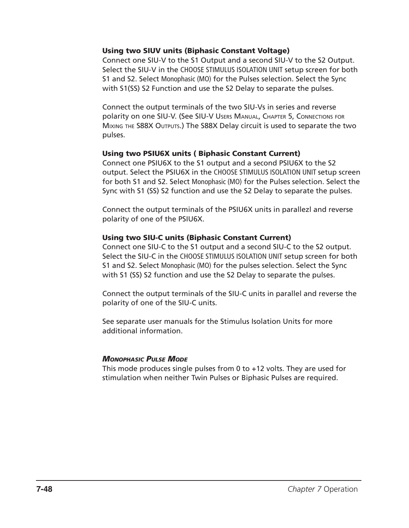#### Using two SIUV units (Biphasic Constant Voltage)

Connect one SIU-V to the S1 Output and a second SIU-V to the S2 Output. Select the SIU-V in the CHOOSE STIMULUS ISOLATION UNIT setup screen for both S1 and S2. Select Monophasic (MO) for the Pulses selection. Select the Sync with S1(SS) S2 Function and use the S2 Delay to separate the pulses.

Connect the output terminals of the two SIU-Vs in series and reverse polarity on one SIU-V. (See SIU-V Users Manual, Chapter 5, Connections for Mixing the S88X Outputs.) The S88X Delay circuit is used to separate the two pulses.

#### Using two PSIU6X units ( Biphasic Constant Current)

Connect one PSIU6X to the S1 output and a second PSIU6X to the S2 output. Select the PSIU6X in the CHOOSE STIMULUS ISOLATION UNIT setup screen for both S1 and S2. Select Monophasic (MO) for the Pulses selection. Select the Sync with S1 (SS) S2 function and use the S2 Delay to separate the pulses.

Connect the output terminals of the PSIU6X units in parallezl and reverse polarity of one of the PSIU6X.

#### Using two SIU-C units (Biphasic Constant Current)

Connect one SIU-C to the S1 output and a second SIU-C to the S2 output. Select the SIU-C in the CHOOSE STIMULUS ISOLATION UNIT setup screen for both S1 and S2. Select Monophasic (MO) for the pulses selection. Select the Sync with S1 (SS) S2 function and use the S2 Delay to separate the pulses.

Connect the output terminals of the SIU-C units in parallel and reverse the polarity of one of the SIU-C units.

See separate user manuals for the Stimulus Isolation Units for more additional information.

### *Monophasic Pulse Mode*

This mode produces single pulses from 0 to +12 volts. They are used for stimulation when neither Twin Pulses or Biphasic Pulses are required.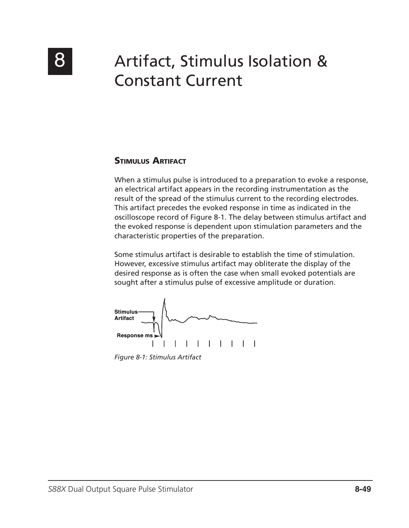

# 8 Artifact, Stimulus Isolation & Constant Current

## Stimulus Artifact

When a stimulus pulse is introduced to a preparation to evoke a response, an electrical artifact appears in the recording instrumentation as the result of the spread of the stimulus current to the recording electrodes. This artifact precedes the evoked response in time as indicated in the oscilloscope record of Figure 8-1. The delay between stimulus artifact and the evoked response is dependent upon stimulation parameters and the characteristic properties of the preparation.

Some stimulus artifact is desirable to establish the time of stimulation. However, excessive stimulus artifact may obliterate the display of the desired response as is often the case when small evoked potentials are sought after a stimulus pulse of excessive amplitude or duration.



*Figure 8-1: Stimulus Artifact*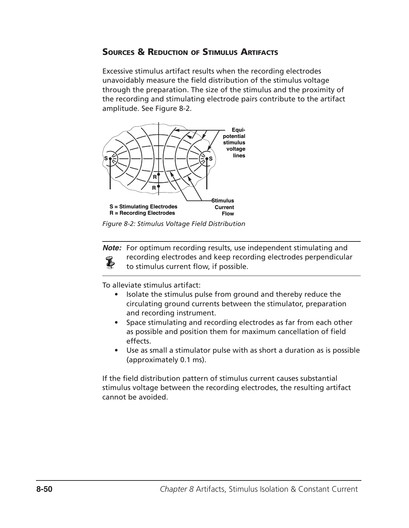## Sources & Reduction of Stimulus Artifacts

Excessive stimulus artifact results when the recording electrodes unavoidably measure the field distribution of the stimulus voltage through the preparation. The size of the stimulus and the proximity of the recording and stimulating electrode pairs contribute to the artifact amplitude. See Figure 8-2.



*Figure 8-2: Stimulus Voltage Field Distribution*

**Note:** For optimum recording results, use independent stimulating and recording electrodes and keep recording electrodes perpendicular L to stimulus current flow, if possible.

To alleviate stimulus artifact:

- Isolate the stimulus pulse from ground and thereby reduce the circulating ground currents between the stimulator, preparation and recording instrument.
- Space stimulating and recording electrodes as far from each other as possible and position them for maximum cancellation of field effects.
- Use as small a stimulator pulse with as short a duration as is possible (approximately 0.1 ms).

If the field distribution pattern of stimulus current causes substantial stimulus voltage between the recording electrodes, the resulting artifact cannot be avoided.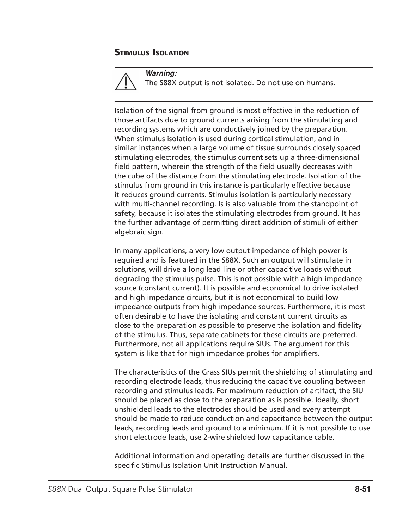## Stimulus Isolation



**Warning:** The S88X output is not isolated. Do not use on humans.

Isolation of the signal from ground is most effective in the reduction of those artifacts due to ground currents arising from the stimulating and recording systems which are conductively joined by the preparation. When stimulus isolation is used during cortical stimulation, and in similar instances when a large volume of tissue surrounds closely spaced stimulating electrodes, the stimulus current sets up a three-dimensional field pattern, wherein the strength of the field usually decreases with the cube of the distance from the stimulating electrode. Isolation of the stimulus from ground in this instance is particularly effective because it reduces ground currents. Stimulus isolation is particularly necessary with multi-channel recording. Is is also valuable from the standpoint of safety, because it isolates the stimulating electrodes from ground. It has the further advantage of permitting direct addition of stimuli of either algebraic sign.

In many applications, a very low output impedance of high power is required and is featured in the S88X. Such an output will stimulate in solutions, will drive a long lead line or other capacitive loads without degrading the stimulus pulse. This is not possible with a high impedance source (constant current). It is possible and economical to drive isolated and high impedance circuits, but it is not economical to build low impedance outputs from high impedance sources. Furthermore, it is most often desirable to have the isolating and constant current circuits as close to the preparation as possible to preserve the isolation and fidelity of the stimulus. Thus, separate cabinets for these circuits are preferred. Furthermore, not all applications require SIUs. The argument for this system is like that for high impedance probes for amplifiers.

The characteristics of the Grass SIUs permit the shielding of stimulating and recording electrode leads, thus reducing the capacitive coupling between recording and stimulus leads. For maximum reduction of artifact, the SIU should be placed as close to the preparation as is possible. Ideally, short unshielded leads to the electrodes should be used and every attempt should be made to reduce conduction and capacitance between the output leads, recording leads and ground to a minimum. If it is not possible to use short electrode leads, use 2-wire shielded low capacitance cable.

Additional information and operating details are further discussed in the specific Stimulus Isolation Unit Instruction Manual.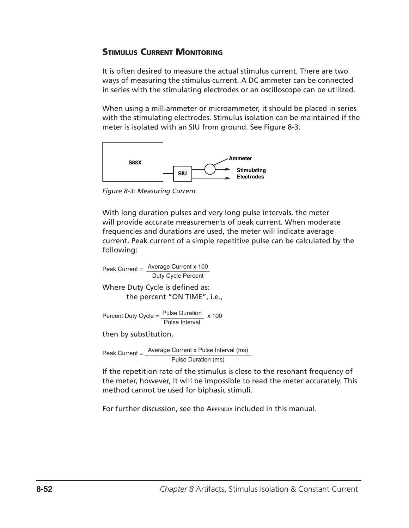## **STIMULUS CURRENT MONITORING**

It is often desired to measure the actual stimulus current. There are two ways of measuring the stimulus current. A DC ammeter can be connected in series with the stimulating electrodes or an oscilloscope can be utilized.

When using a milliammeter or microammeter, it should be placed in series with the stimulating electrodes. Stimulus isolation can be maintained if the meter is isolated with an SIU from ground. See Figure 8-3.



*Figure 8-3: Measuring Current*

With long duration pulses and very long pulse intervals, the meter will provide accurate measurements of peak current. When moderate frequencies and durations are used, the meter will indicate average current. Peak current of a simple repetitive pulse can be calculated by the following:

Peak Current = 
$$
\frac{\text{Average Current} \times 100}{\text{Duty Cycle Percent}}
$$

\nWhere Duty Cycle is defined as: the percent "ON TIME", i.e.,

\nPercent Duty Cycle =  $\frac{\text{Pulse Duration}}{\text{Pulse Interval}} \times 100$ 

\nthen by substitution,

\nPeak Current =  $\frac{\text{Average Current} \times \text{Pulse Interval}}{\text{Pulse Duration (ms)}}$ 

If the repetition rate of the stimulus is close to the resonant frequency of the meter, however, it will be impossible to read the meter accurately. This method cannot be used for biphasic stimuli.

For further discussion, see the APPENDIX included in this manual.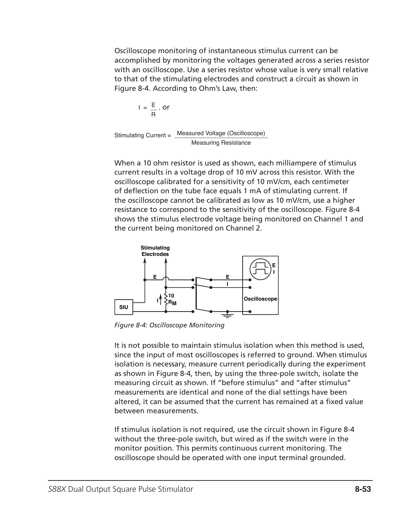Oscilloscope monitoring of instantaneous stimulus current can be accomplished by monitoring the voltages generated across a series resistor with an oscilloscope. Use a series resistor whose value is very small relative to that of the stimulating electrodes and construct a circuit as shown in Figure 8-4. According to Ohm's Law, then:

$$
I = \frac{E}{R}, or
$$

Stimulating Current = Measured Voltage (Oscilloscope) Measuring Resistance

When a 10 ohm resistor is used as shown, each milliampere of stimulus current results in a voltage drop of 10 mV across this resistor. With the oscilloscope calibrated for a sensitivity of 10 mV/cm, each centimeter of deflection on the tube face equals 1 mA of stimulating current. If the oscilloscope cannot be calibrated as low as 10 mV/cm, use a higher resistance to correspond to the sensitivity of the oscilloscope. Figure 8-4 shows the stimulus electrode voltage being monitored on Channel 1 and the current being monitored on Channel 2.



*Figure 8-4: Oscilloscope Monitoring*

It is not possible to maintain stimulus isolation when this method is used, since the input of most oscilloscopes is referred to ground. When stimulus isolation is necessary, measure current periodically during the experiment as shown in Figure 8-4, then, by using the three-pole switch, isolate the measuring circuit as shown. If "before stimulus" and "after stimulus" measurements are identical and none of the dial settings have been altered, it can be assumed that the current has remained at a fixed value between measurements.

If stimulus isolation is not required, use the circuit shown in Figure 8-4 without the three-pole switch, but wired as if the switch were in the monitor position. This permits continuous current monitoring. The oscilloscope should be operated with one input terminal grounded.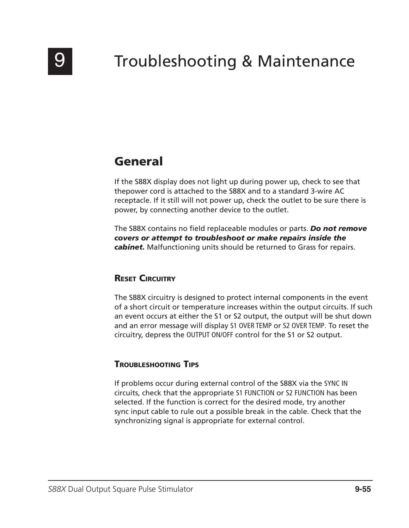

# Troubleshooting & Maintenance

## General

If the S88X display does not light up during power up, check to see that thepower cord is attached to the S88X and to a standard 3-wire AC receptacle. If it still will not power up, check the outlet to be sure there is power, by connecting another device to the outlet.

The S88X contains no field replaceable modules or parts. *Do not remove covers or attempt to troubleshoot or make repairs inside the cabinet.* Malfunctioning units should be returned to Grass for repairs.

## **RESET CIRCUITRY**

The S88X circuitry is designed to protect internal components in the event of a short circuit or temperature increases within the output circuits. If such an event occurs at either the S1 or S2 output, the output will be shut down and an error message will display S1 OVER TEMP or S2 OVER TEMP. To reset the circuitry, depress the OUTPUT ON/OFF control for the S1 or S2 output.

## Troubleshooting Tips

If problems occur during external control of the S88X via the SYNC IN circuits, check that the appropriate S1 FUNCTION or S2 FUNCTION has been selected. If the function is correct for the desired mode, try another sync input cable to rule out a possible break in the cable. Check that the synchronizing signal is appropriate for external control.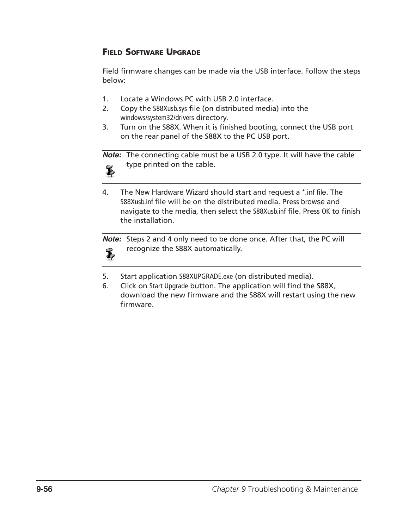## Field Software Upgrade

Field firmware changes can be made via the USB interface. Follow the steps below:

- 1. Locate a Windows PC with USB 2.0 interface.
- 2. Copy the S88Xusb.sys file (on distributed media) into the windows/system32/drivers directory.
- 3. Turn on the S88X. When it is finished booting, connect the USB port on the rear panel of the S88X to the PC USB port.

**Note:** The connecting cable must be a USB 2.0 type. It will have the cable type printed on the cable.



4. The New Hardware Wizard should start and request a \*.inf file. The S88Xusb.inf file will be on the distributed media. Press browse and navigate to the media, then select the S88Xusb.inf file. Press OK to finish the installation.

**Note:** Steps 2 and 4 only need to be done once. After that, the PC will recognize the S88X automatically.  $\bf{E}$ 

- 5. Start application S88XUPGRADE.exe (on distributed media).
- 6. Click on Start Upgrade button. The application will find the S88X, download the new firmware and the S88X will restart using the new firmware.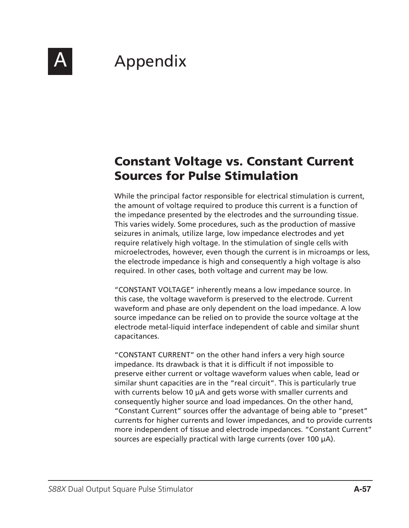

# **Appendix**

## Constant Voltage vs. Constant Current Sources for Pulse Stimulation

While the principal factor responsible for electrical stimulation is current, the amount of voltage required to produce this current is a function of the impedance presented by the electrodes and the surrounding tissue. This varies widely. Some procedures, such as the production of massive seizures in animals, utilize large, low impedance electrodes and yet require relatively high voltage. In the stimulation of single cells with microelectrodes, however, even though the current is in microamps or less, the electrode impedance is high and consequently a high voltage is also required. In other cases, both voltage and current may be low.

"CONSTANT VOLTAGE" inherently means a low impedance source. In this case, the voltage waveform is preserved to the electrode. Current waveform and phase are only dependent on the load impedance. A low source impedance can be relied on to provide the source voltage at the electrode metal-liquid interface independent of cable and similar shunt capacitances.

"CONSTANT CURRENT" on the other hand infers a very high source impedance. Its drawback is that it is difficult if not impossible to preserve either current or voltage waveform values when cable, lead or similar shunt capacities are in the "real circuit". This is particularly true with currents below 10  $\mu$ A and gets worse with smaller currents and consequently higher source and load impedances. On the other hand, "Constant Current" sources offer the advantage of being able to "preset" currents for higher currents and lower impedances, and to provide currents more independent of tissue and electrode impedances. "Constant Current" sources are especially practical with large currents (over 100 µA).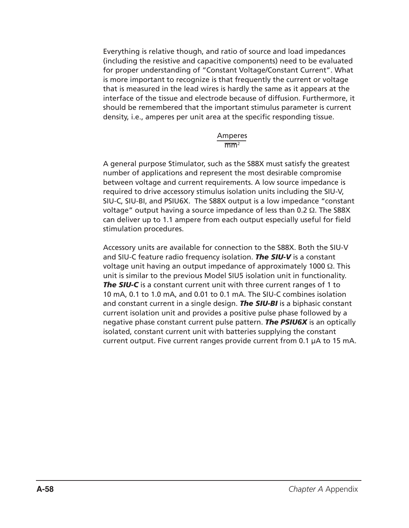Everything is relative though, and ratio of source and load impedances (including the resistive and capacitive components) need to be evaluated for proper understanding of "Constant Voltage/Constant Current". What is more important to recognize is that frequently the current or voltage that is measured in the lead wires is hardly the same as it appears at the interface of the tissue and electrode because of diffusion. Furthermore, it should be remembered that the important stimulus parameter is current density, i.e., amperes per unit area at the specific responding tissue.

#### Amperes  $\overline{\text{mm}^2}$

A general purpose Stimulator, such as the S88X must satisfy the greatest number of applications and represent the most desirable compromise between voltage and current requirements. A low source impedance is required to drive accessory stimulus isolation units including the SIU-V, SIU-C, SIU-BI, and PSIU6X. The S88X output is a low impedance "constant voltage" output having a source impedance of less than 0.2 Ω. The S88X can deliver up to 1.1 ampere from each output especially useful for field stimulation procedures.

Accessory units are available for connection to the S88X. Both the SIU-V and SIU-C feature radio frequency isolation. *The SIU-V* is a constant voltage unit having an output impedance of approximately 1000 Ω. This unit is similar to the previous Model SIU5 isolation unit in functionality. *The SIU-C* is a constant current unit with three current ranges of 1 to 10 mA, 0.1 to 1.0 mA, and 0.01 to 0.1 mA. The SIU-C combines isolation and constant current in a single design. *The SIU-BI* is a biphasic constant current isolation unit and provides a positive pulse phase followed by a negative phase constant current pulse pattern. *The PSIU6X* is an optically isolated, constant current unit with batteries supplying the constant current output. Five current ranges provide current from 0.1 µA to 15 mA.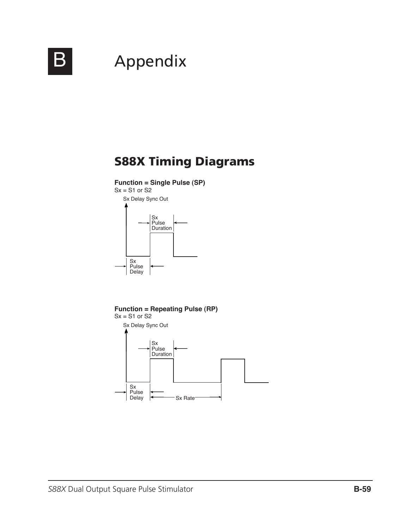

# **B** Appendix

## S88X Timing Diagrams

**Function = Single Pulse (SP)**



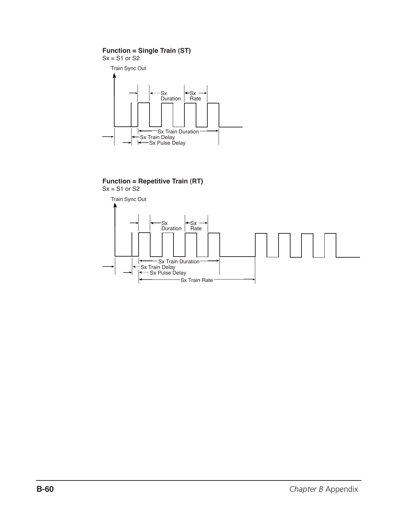#### **Function = Single Train (ST)**



#### **Function = Repetitive Train (RT)**  $Sx = S1$  or  $S2$

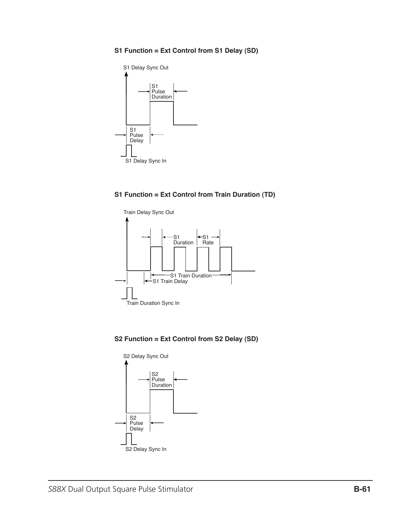#### **S1 Function = Ext Control from S1 Delay (SD)**



#### **S1 Function = Ext Control from Train Duration (TD)**



**S2 Function = Ext Control from S2 Delay (SD)**

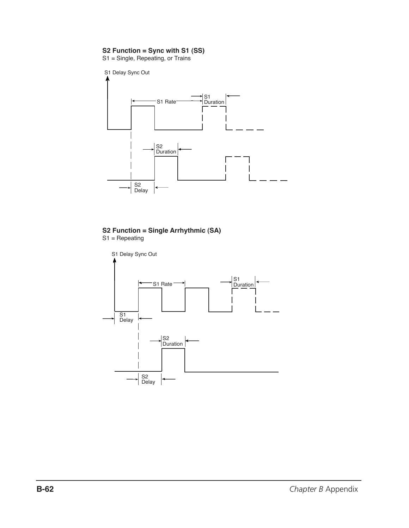#### **S2 Function = Sync with S1 (SS)**

S1 = Single, Repeating, or Trains



#### **S2 Function = Single Arrhythmic (SA)** S1 = Repeating